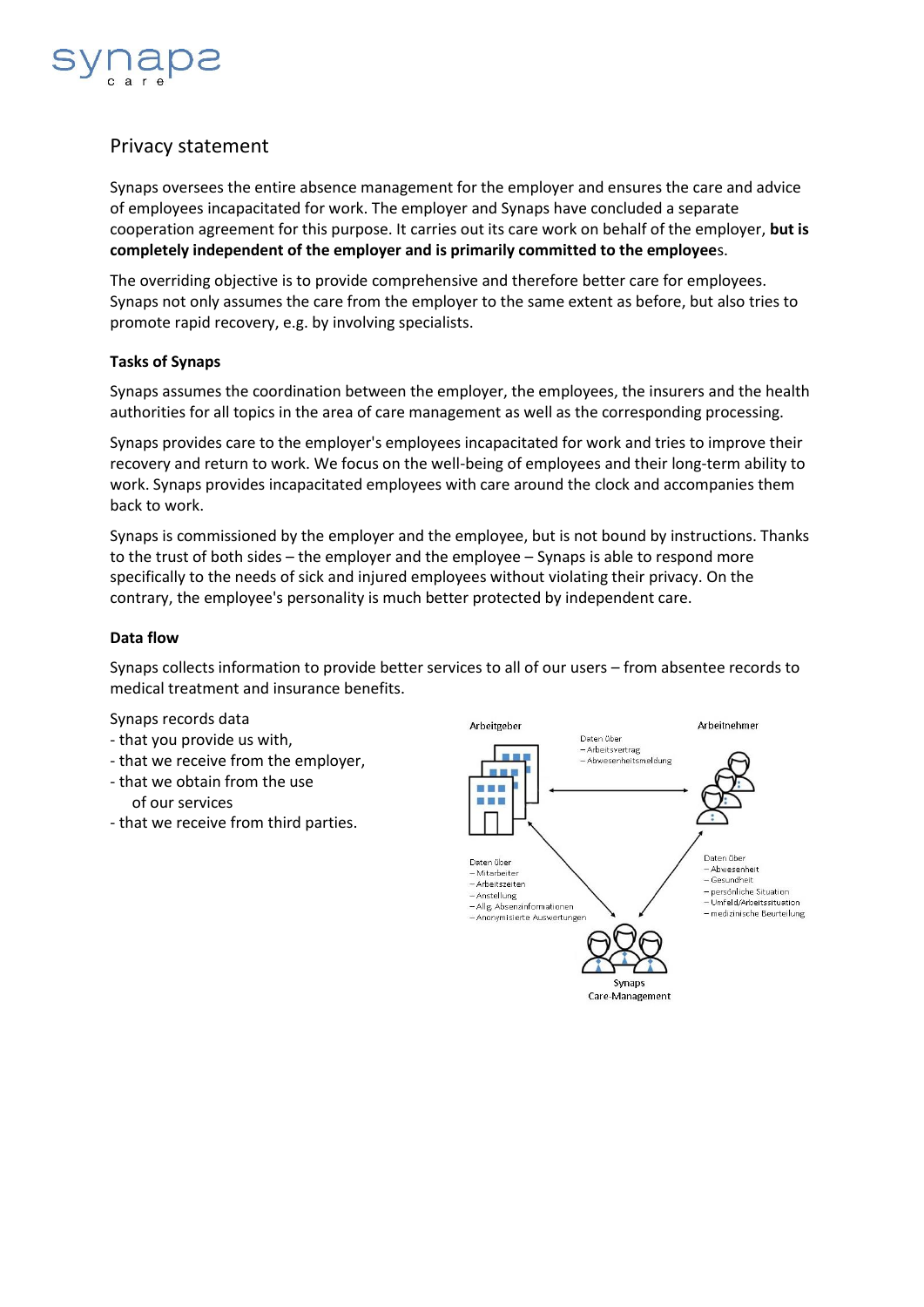

# Privacy statement

Synaps oversees the entire absence management for the employer and ensures the care and advice of employees incapacitated for work. The employer and Synaps have concluded a separate cooperation agreement for this purpose. It carries out its care work on behalf of the employer, **but is completely independent of the employer and is primarily committed to the employee**s.

The overriding objective is to provide comprehensive and therefore better care for employees. Synaps not only assumes the care from the employer to the same extent as before, but also tries to promote rapid recovery, e.g. by involving specialists.

#### **Tasks of Synaps**

Synaps assumes the coordination between the employer, the employees, the insurers and the health authorities for all topics in the area of care management as well as the corresponding processing.

Synaps provides care to the employer's employees incapacitated for work and tries to improve their recovery and return to work. We focus on the well-being of employees and their long-term ability to work. Synaps provides incapacitated employees with care around the clock and accompanies them back to work.

Synaps is commissioned by the employer and the employee, but is not bound by instructions. Thanks to the trust of both sides – the employer and the employee – Synaps is able to respond more specifically to the needs of sick and injured employees without violating their privacy. On the contrary, the employee's personality is much better protected by independent care.

#### **Data flow**

Synaps collects information to provide better services to all of our users – from absentee records to medical treatment and insurance benefits.

Synaps records data

- that you provide us with,
- that we receive from the employer,
- that we obtain from the use of our services
- that we receive from third parties.

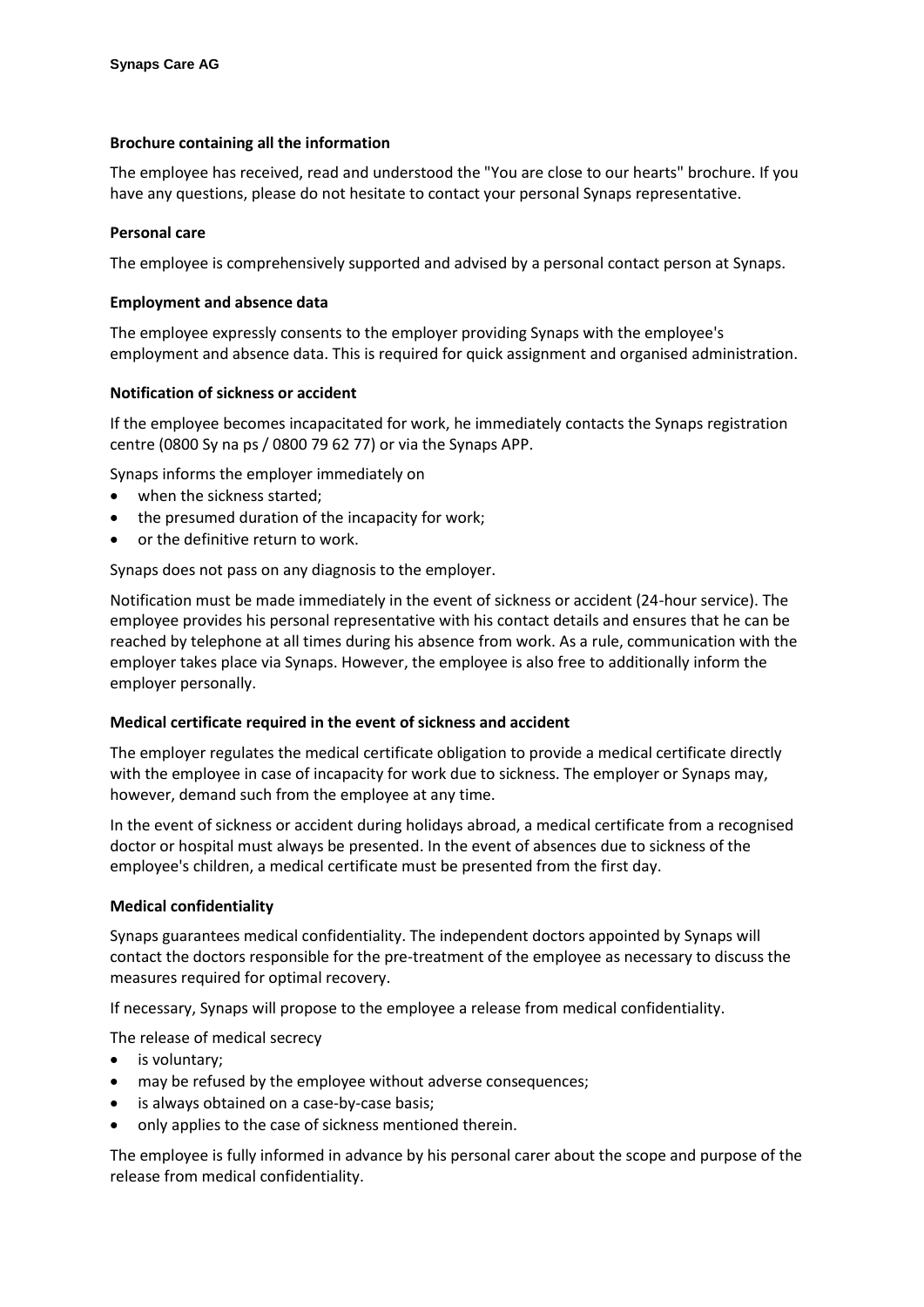# **Brochure containing all the information**

The employee has received, read and understood the "You are close to our hearts" brochure. If you have any questions, please do not hesitate to contact your personal Synaps representative.

## **Personal care**

The employee is comprehensively supported and advised by a personal contact person at Synaps.

## **Employment and absence data**

The employee expressly consents to the employer providing Synaps with the employee's employment and absence data. This is required for quick assignment and organised administration.

# **Notification of sickness or accident**

If the employee becomes incapacitated for work, he immediately contacts the Synaps registration centre (0800 Sy na ps / 0800 79 62 77) or via the Synaps APP.

Synaps informs the employer immediately on

- when the sickness started;
- the presumed duration of the incapacity for work;
- or the definitive return to work.

Synaps does not pass on any diagnosis to the employer.

Notification must be made immediately in the event of sickness or accident (24-hour service). The employee provides his personal representative with his contact details and ensures that he can be reached by telephone at all times during his absence from work. As a rule, communication with the employer takes place via Synaps. However, the employee is also free to additionally inform the employer personally.

# **Medical certificate required in the event of sickness and accident**

The employer regulates the medical certificate obligation to provide a medical certificate directly with the employee in case of incapacity for work due to sickness. The employer or Synaps may, however, demand such from the employee at any time.

In the event of sickness or accident during holidays abroad, a medical certificate from a recognised doctor or hospital must always be presented. In the event of absences due to sickness of the employee's children, a medical certificate must be presented from the first day.

# **Medical confidentiality**

Synaps guarantees medical confidentiality. The independent doctors appointed by Synaps will contact the doctors responsible for the pre-treatment of the employee as necessary to discuss the measures required for optimal recovery.

If necessary, Synaps will propose to the employee a release from medical confidentiality.

The release of medical secrecy

- is voluntary;
- may be refused by the employee without adverse consequences;
- is always obtained on a case-by-case basis;
- only applies to the case of sickness mentioned therein.

The employee is fully informed in advance by his personal carer about the scope and purpose of the release from medical confidentiality.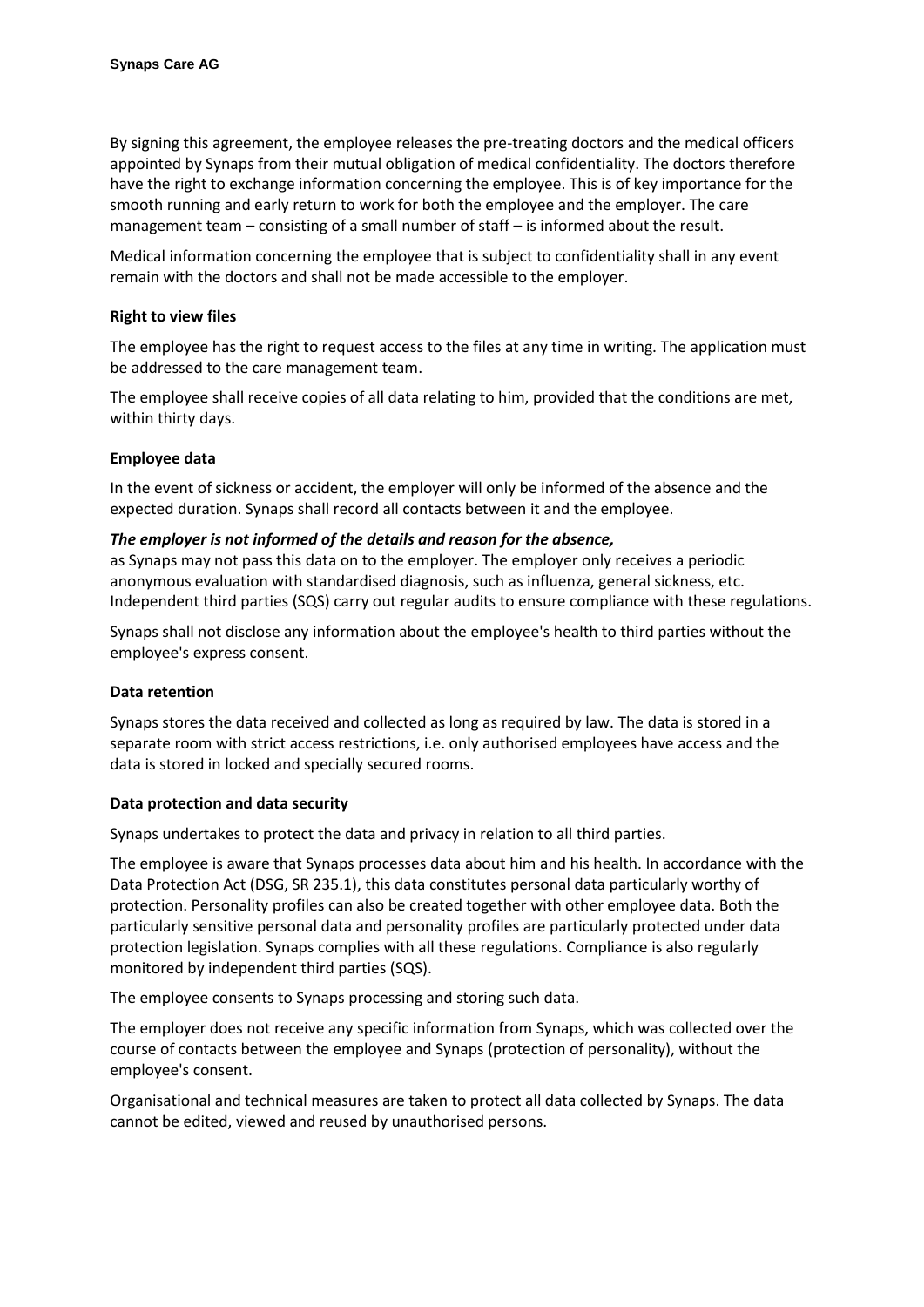By signing this agreement, the employee releases the pre-treating doctors and the medical officers appointed by Synaps from their mutual obligation of medical confidentiality. The doctors therefore have the right to exchange information concerning the employee. This is of key importance for the smooth running and early return to work for both the employee and the employer. The care management team – consisting of a small number of staff – is informed about the result.

Medical information concerning the employee that is subject to confidentiality shall in any event remain with the doctors and shall not be made accessible to the employer.

## **Right to view files**

The employee has the right to request access to the files at any time in writing. The application must be addressed to the care management team.

The employee shall receive copies of all data relating to him, provided that the conditions are met, within thirty days.

#### **Employee data**

In the event of sickness or accident, the employer will only be informed of the absence and the expected duration. Synaps shall record all contacts between it and the employee.

#### *The employer is not informed of the details and reason for the absence,*

as Synaps may not pass this data on to the employer. The employer only receives a periodic anonymous evaluation with standardised diagnosis, such as influenza, general sickness, etc. Independent third parties (SQS) carry out regular audits to ensure compliance with these regulations.

Synaps shall not disclose any information about the employee's health to third parties without the employee's express consent.

#### **Data retention**

Synaps stores the data received and collected as long as required by law. The data is stored in a separate room with strict access restrictions, i.e. only authorised employees have access and the data is stored in locked and specially secured rooms.

#### **Data protection and data security**

Synaps undertakes to protect the data and privacy in relation to all third parties.

The employee is aware that Synaps processes data about him and his health. In accordance with the Data Protection Act (DSG, SR 235.1), this data constitutes personal data particularly worthy of protection. Personality profiles can also be created together with other employee data. Both the particularly sensitive personal data and personality profiles are particularly protected under data protection legislation. Synaps complies with all these regulations. Compliance is also regularly monitored by independent third parties (SQS).

The employee consents to Synaps processing and storing such data.

The employer does not receive any specific information from Synaps, which was collected over the course of contacts between the employee and Synaps (protection of personality), without the employee's consent.

Organisational and technical measures are taken to protect all data collected by Synaps. The data cannot be edited, viewed and reused by unauthorised persons.